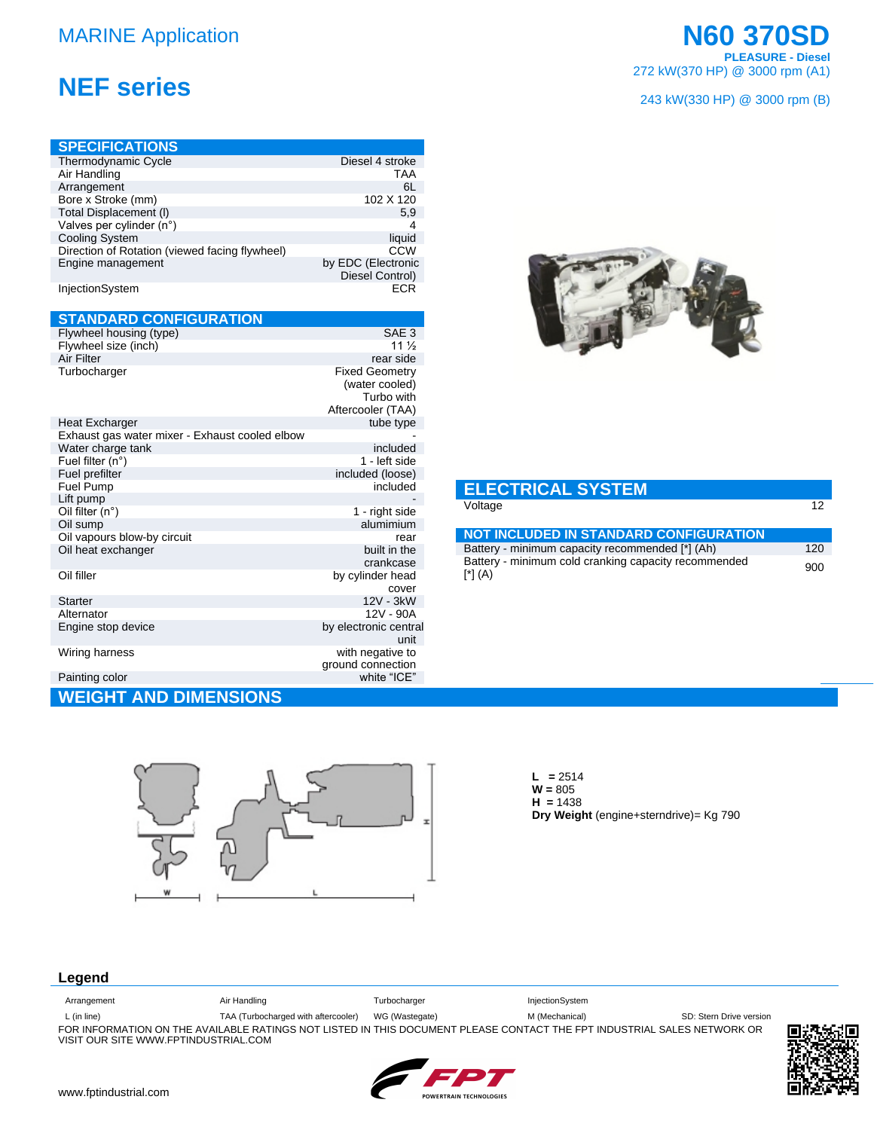## **MARINE Application**

## **NEF series**

|                    | cover                                 |
|--------------------|---------------------------------------|
| <b>Starter</b>     | 12V - 3kW                             |
| Alternator         | 12V - 90A                             |
| Engine stop device | by electronic central<br>unit         |
| Wiring harness     | with negative to<br>ground connection |
| Painting color     | white "ICE"                           |

## **WEIGHT AND DIMENSIONS**



 $H = 1438$ Dry Weight (engine+sterndrive)= Kg 790

### Legend

| Arrangement                          | Air Handling                        | Turbocharger   | InjectionSystem                                                                                                         |                         |
|--------------------------------------|-------------------------------------|----------------|-------------------------------------------------------------------------------------------------------------------------|-------------------------|
| $L$ (in line)                        | TAA (Turbocharged with aftercooler) | WG (Wastegate) | M (Mechanical)                                                                                                          | SD: Stern Drive version |
|                                      |                                     |                | FOR INFORMATION ON THE AVAILABLE RATINGS NOT LISTED IN THIS DOCUMENT PLEASE CONTACT THE FPT INDUSTRIAL SALES NETWORK OR |                         |
| VISIT OUR SITE WWW.FPTINDUSTRIAL.COM |                                     |                |                                                                                                                         |                         |



 $\overline{12}$ 

## **N60 370SD PLEASURE - Diesel**<br>272 kW(370 HP) @ 3000 rpm (A1)

#### 243 kW(330 HP) @ 3000 rpm (B)



#### **ELECTRICAL SYSTEM** Voltage

| <b>NOT INCLUDED IN STANDARD CONFIGURATION</b>                           |     |
|-------------------------------------------------------------------------|-----|
| Battery - minimum capacity recommended [*] (Ah)                         | 120 |
| Battery - minimum cold cranking capacity recommended<br>$\lceil$ *] (A) | 900 |

# **L** = 2514<br>**W** = 805